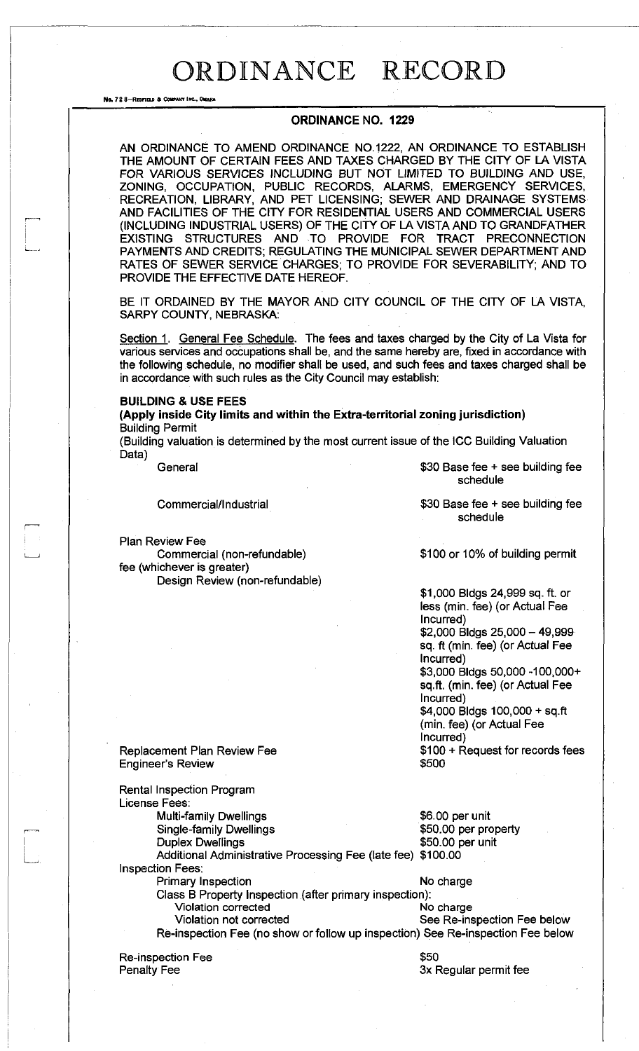No. 72 8-REDFIELD & COMPANY INC., ON

### **ORDINANCE NO. 1229**

AN ORDINANCE TO AMEND ORDINANCE NO.1222, AN ORDINANCE TO ESTABLISH THE AMOUNT OF CERTAIN FEES AND TAXES CHARGED BY THE CITY OF LA VISTA FOR VARIOUS SERVICES INCLUDING BUT NOT LIMITED TO BUILDING AND USE, ZONING, OCCUPATION, PUBLIC RECORDS, ALARMS, EMERGENCY SERVICES, RECREATION, LIBRARY, AND PET LICENSING; SEWER AND DRAINAGE SYSTEMS AND FACILITIES OF THE CITY FOR RESIDENTIAL USERS AND COMMERCIAL USERS (INCLUDING INDUSTRIAL USERS) OF THE CITY OF LA VISTA AND TO GRANDFATHER EXISTING STRUCTURES AND TO PROVIDE FOR TRACT PRECONNECTION PAYMENTS AND CREDITS; REGULATING THE MUNICIPAL SEWER DEPARTMENT AND RATES OF SEWER SERVICE CHARGES; TO PROVIDE FOR SEVERABILITY; AND TO PROVIDE THE EFFECTIVE DATE HEREOF.

BE IT ORDAINED BY THE MAYOR AND CITY COUNCIL OF THE CITY OF LA VISTA, SARPY COUNTY, NEBRASKA:

Section 1. General Fee Schedule. The fees and taxes charged by the City of La Vista for various services and occupations shall be, and the same hereby are, fixed in accordance with the following schedule, no modifier shall be used, and such fees and taxes charged shall be in accordance with such rules as the City Council may establish:

### **BUILDING & USE FEES**

**(Apply inside City limits and within the Extra-territorial zoning jurisdiction)**  Building Permit

(Building valuation is determined by the most current issue of the ICC Building Valuation Data)

General \$30 Base fee + see building fee

Commercial/Industrial  $$30$  Base fee + see building fee

Plan Review Fee

Commercial (non-refundable) fee (whichever is greater) Design Review (non-refundable)

schedule

schedule

\$100 or 10% of building permit

\$1,000 Bldgs 24,999 sq. ft. or less (min. fee) (or Actual Fee Incurred) \$2,000 Bldgs 25,000 - 49,999 sq. ft (min. fee) (or Actual Fee Incurred) \$3,000 Bldgs 50,000 -100,000+ sq.ft. (min. fee) (or Actual Fee Incurred) \$4,000 Bldgs 100,000 + sq.ft (min. fee) (or Actual Fee Incurred) \$100 + Request for records fees \$500

Replacement Plan Review Fee Engineer's Review

Rental Inspection Program License Fees: Multi-family Dwellings **\$6.00 per unit** Single-family Dwellings<br>
Duplex Dwellings<br>  $\begin{array}{r} \text{350.00 per profit} \\ \text{250.00 per unit} \end{array}$ \$50.00 per unit Additional Administrative Processing Fee (late fee) \$100.00 Inspection Fees: Primary Inspection No charge Class B Property Inspection (after primary inspection): **Violation corrected No charge**  No charge Violation not corrected See Re-inspection Fee below Re-inspection Fee (no show or follow up inspection) See Re-inspection Fee below Re-inspection Fee \$50

Penalty Fee

3x Regular permit fee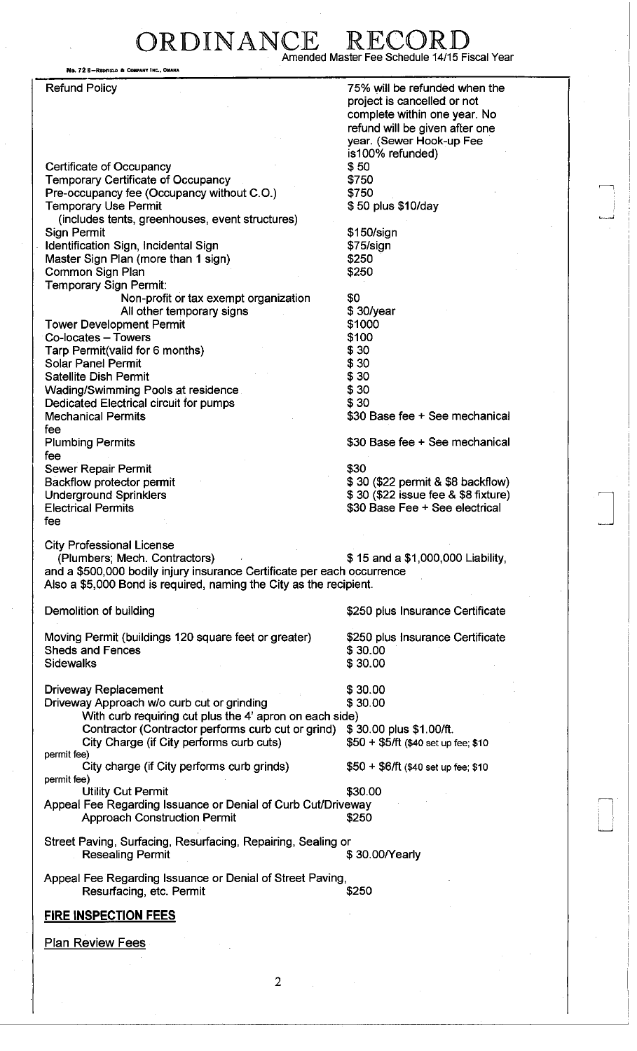## RDINANCE Amended Master Fee Schedule 14/15 Fiscal Year

No. 72 8–Redfield & Company I

Refund Policy Certificate of Occupancy Temporary Certificate of Occupancy Pre-occupancy fee (Occupancy without C.O.) Temporary Use Permit (includes tents, greenhouses, event structures) Sign Permit Identification Sign, Incidental Sign Master Sign Plan (more than 1 sign) Common Sign Plan Temporary Sign Permit: Non-profit or tax exempt organization All other temporary signs Tower Development Permit Co-locates - Towers Tarp Permit(valid for 6 months) Solar Panel Permit Satellite Dish Permit Wading/Swimming Pools at residence Dedicated Electrical circuit for pumps Mechanical Permits fee Plumbing Permits fee Sewer Repair Permit Backflow protector permit Underground Sprinklers Electrical Permits fee 75% will be refunded when the project is cancelled or not complete within one year. No refund will be given after one year. (Sewer Hook-up Fee is100% refunded) \$50 \$750 \$750 \$ 50 plus \$10/day \$150/sign \$75/sign \$250 \$250 \$0 \$ 30/year \$1000 \$100 \$30 \$30 \$30 \$30 \$30 \$30 Base fee + See mechanical \$30 Base fee + See mechanical \$30 \$ 30 (\$22 permit & \$8 backflow) \$ 30 (\$22 issue fee & \$8 fixture) \$30 Base Fee + See electrical City Professional License (Plumbers; Mech. Contractors) \$ 15 and a \$1,000,000 Liability, and a \$500,000 bodily injury insurance Certificate per each occurrence Also a \$5,000 Bond is required, naming the City as the recipient. Demolition of building Moving Permit (buildings 120 square feet or greater) Sheds and Fences **Sidewalks** \$250 plus Insurance Certificate \$250 plus Insurance Certificate \$ 30.00 \$ 30.00 **Driveway Replacement** \$ 30.00 Driveway Approach w/o curb cut or grinding \$ 30.00 With curb requiring cut plus the 4' apron on each side) Contractor (Contractor performs curb cut or grind) \$30.00 plus \$1.00/ft. City Charge (if City performs curb cuts) \$50 + \$5/ft (\$40 set up fee; \$10 permit fee) City charge (if City performs curb grinds) \$50 + \$6/ft (\$40 set up fee; \$10 permit fee) Utility Cut Permit \$30.00 Appeal Fee Regarding Issuance or Denial of Curb Cut/Driveway Approach Construction Permit  $$250$ Street Paving, Surfacing, Resurfacing, Repairing, Sealing or Resealing Permit  $$ 30.00/Yearly$ Appeal Fee Regarding Issuance or Denial of Street Paving, Resurfacing, etc. Permit  $$250$ **FIRE INSPECTION FEES**  Plan Review Fees

 $\overline{2}$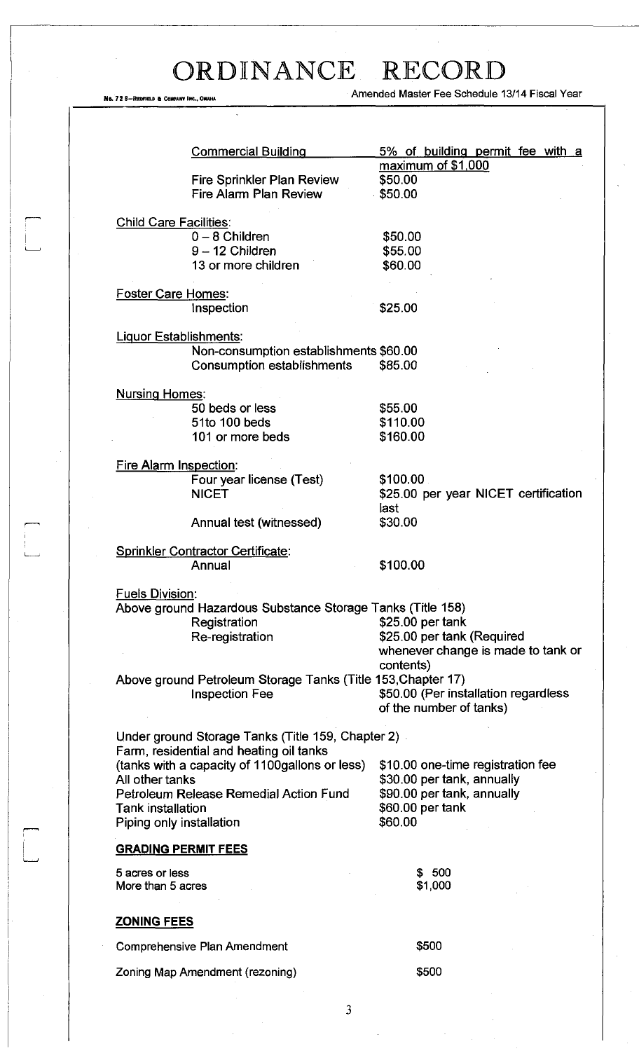$\ddot{\phantom{0}}$ 

 $\begin{array}{c} \hline \end{array}$ 

 $\begin{picture}(120,15) \put(0,0){\line(1,0){150}} \put(15,0){\line(1,0){150}} \put(15,0){\line(1,0){150}} \put(15,0){\line(1,0){150}} \put(15,0){\line(1,0){150}} \put(15,0){\line(1,0){150}} \put(15,0){\line(1,0){150}} \put(15,0){\line(1,0){150}} \put(15,0){\line(1,0){150}} \put(15,0){\line(1,0){150}} \put(15,0){\line(1,0){150}}$ 

 $\begin{bmatrix} 1 & 1 \\ 1 & 1 \\ 1 & 1 \end{bmatrix}$ 

No. 72 8-RECFIELD & COMPANY INC., OWAHA AMERICAL AMERICAL AMERICA MASTER Fee Schedule 13/14 Fiscal Year

|                               | <b>Commercial Building</b>                                                 | 5% of building permit fee with a     |
|-------------------------------|----------------------------------------------------------------------------|--------------------------------------|
|                               | <b>Fire Sprinkler Plan Review</b>                                          | maximum of \$1,000<br>\$50.00        |
|                               | Fire Alarm Plan Review                                                     | \$50.00                              |
| <b>Child Care Facilities:</b> |                                                                            |                                      |
|                               | $0 - 8$ Children                                                           | \$50.00                              |
|                               | 9-12 Children                                                              | \$55.00                              |
|                               | 13 or more children                                                        | \$60.00                              |
| <b>Foster Care Homes:</b>     |                                                                            |                                      |
|                               | Inspection                                                                 | \$25.00                              |
| <b>Liguor Establishments:</b> |                                                                            |                                      |
|                               | Non-consumption establishments \$60.00                                     |                                      |
|                               | Consumption establishments                                                 | \$85.00                              |
| <b>Nursing Homes:</b>         |                                                                            |                                      |
|                               | 50 beds or less                                                            | \$55.00                              |
|                               | 51to 100 beds                                                              | \$110.00                             |
|                               | 101 or more beds                                                           | \$160.00                             |
|                               |                                                                            |                                      |
| <b>Fire Alarm Inspection:</b> |                                                                            |                                      |
|                               | Four year license (Test)                                                   | \$100.00                             |
|                               | <b>NICET</b>                                                               | \$25.00 per year NICET certification |
|                               |                                                                            | last                                 |
|                               | Annual test (witnessed)                                                    | \$30.00                              |
|                               | <b>Sprinkler Contractor Certificate:</b>                                   |                                      |
|                               | Annual                                                                     | \$100.00                             |
|                               |                                                                            |                                      |
| <u>Fuels Division:</u>        |                                                                            |                                      |
|                               | Above ground Hazardous Substance Storage Tanks (Title 158)<br>Registration | \$25.00 per tank                     |
|                               | Re-registration                                                            | \$25.00 per tank (Required           |
|                               |                                                                            | whenever change is made to tank or   |
|                               |                                                                            | contents)                            |
|                               | Above ground Petroleum Storage Tanks (Title 153, Chapter 17)               |                                      |
|                               | <b>Inspection Fee</b>                                                      | \$50.00 (Per installation regardless |
|                               |                                                                            | of the number of tanks)              |
|                               |                                                                            |                                      |
|                               | Under ground Storage Tanks (Title 159, Chapter 2)                          |                                      |
|                               | Farm, residential and heating oil tanks                                    |                                      |
|                               | (tanks with a capacity of 1100gallons or less)                             | \$10.00 one-time registration fee    |
| All other tanks               |                                                                            | \$30.00 per tank, annually           |
|                               | Petroleum Release Remedial Action Fund                                     | \$90.00 per tank, annually           |
| <b>Tank installation</b>      |                                                                            | \$60.00 per tank                     |
| Piping only installation      |                                                                            | \$60.00                              |
| <b>GRADING PERMIT FEES</b>    |                                                                            |                                      |
| 5 acres or less               |                                                                            | \$500                                |
| More than 5 acres             |                                                                            | \$1,000                              |
| <b>ZONING FEES</b>            |                                                                            |                                      |
|                               | <b>Comprehensive Plan Amendment</b>                                        | \$500                                |
|                               |                                                                            |                                      |
|                               | Zoning Map Amendment (rezoning)                                            | \$500                                |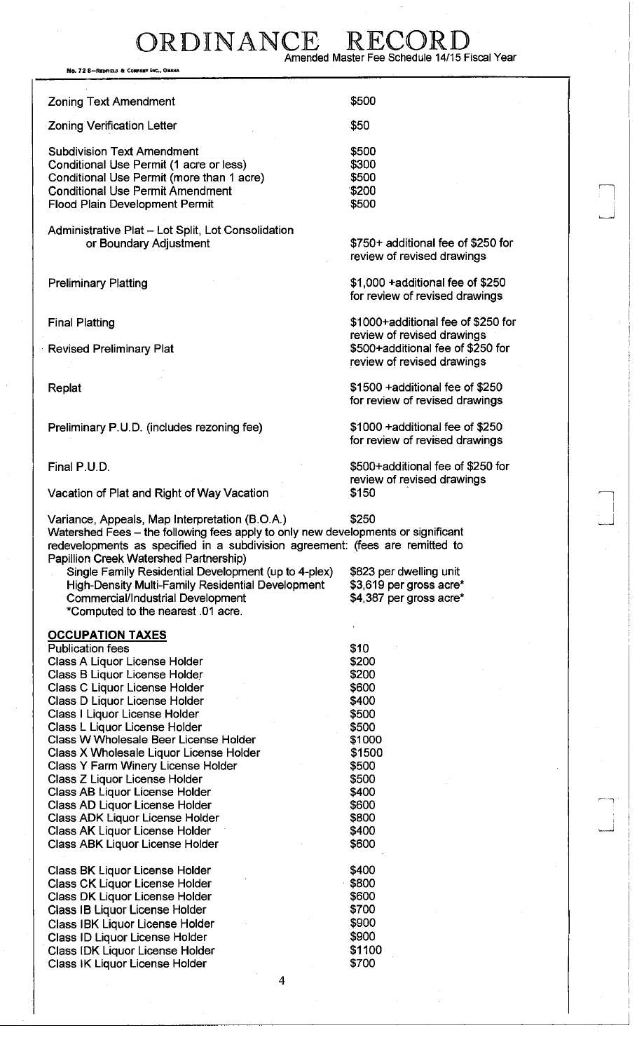DRDINANCE RECC Amended Master Fee Schedule 14/15 Fiscal Year

No. 72 8-REDFIELD & CONFANY

Zoning Text Amendment

Zoning Verification Letter

Subdivision Text Amendment Conditional Use Permit (1 acre or less) Conditional Use Permit (more than 1 acre) Conditional Use Permit Amendment Flood Plain Development Permit

Administrative Plat - Lot Split, Lot Consolidation or Boundary Adjustment

Preliminary Platting

Final Platting

Revised Preliminary Plat

Replat

Preliminary P.U.D. (includes rezoning fee)

Final P.U.D.

Vacation of Plat and Right of Way Vacation

Variance, Appeals, Map Interpretation (B.O.A.) \$250 Watershed Fees - the following fees apply to only new developments or significant redevelopments as specified in a subdivision agreement: (fees are remitted to Papillion Creek Watershed Partnership)

Single Family Residential Development (up to 4-plex) High-Density Multi-Family Residential Development Commercial/Industrial Development \*Computed to the nearest .01 acre.

## **OCCUPATION TAXES**

Publication fees Class A Liquor License Holder Class B Liquor License Holder Class C Liquor License Holder Class D Liquor License Holder Class I Liquor License Holder Class L Liquor License Holder Class W Wholesale Beer License Holder Class X Wholesale Liquor License Holder Class Y Farm Winery License Holder Class Z Liquor License Holder Class AB Liquor License Holder Class AD Liquor License Holder Class ADK Liquor License Holder Class AK Liquor License Holder Class ABK Liquor License Holder

Class BK Liquor License Holder Class CK Liquor License Holder Class DK Liquor License Holder Class IB Liquor License Holder Class IBK Liquor License Holder Class ID Liquor License Holder Class IDK Liquor License Holder Class IK Liquor License Holder

\$50 \$500 \$300 \$500 \$200 \$500

\$500

\$750+ additional fee of \$250 for review of revised drawings

\$1,000 +additional fee of \$250 for review of revised drawings

\$1000+additional fee of \$250 for review of revised drawings \$500+additional fee of \$250 for review of revised drawings

\$1500 +additional fee of \$250 for review of revised drawings

\$1000 +additional fee of \$250 for review of revised drawings

\$500+additional fee of \$250 for review of revised drawings \$150

\$823 per dwelling unit \$3,619 per gross acre' \$4,387 per gross acre\*

\$10 \$200 \$200 \$600 \$400 \$500 \$500 \$1000 \$1500 \$500 \$500 \$400 \$600 \$800 \$400 \$600

\$400 \$800 \$600 \$700 \$900 \$900 \$1100 \$700

 $\overline{\mathbf{A}}$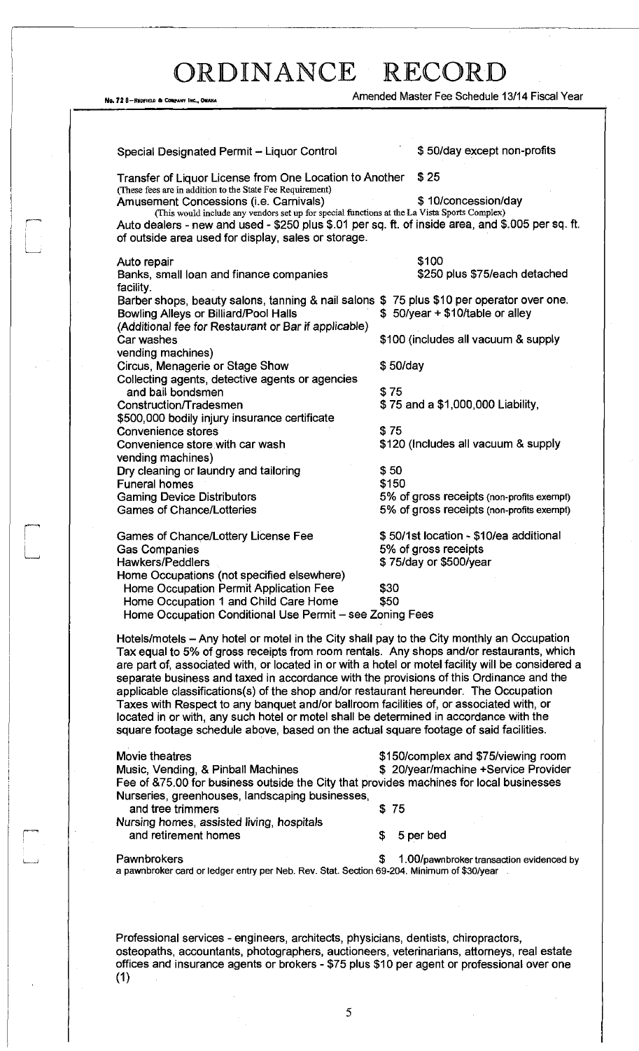Ng. 72 8-REDFIELD & COMPANY INC., OMAHA

| Amended Master Fee Schedule 13/14 Fiscal Year |  |  |
|-----------------------------------------------|--|--|
|                                               |  |  |

| Special Designated Permit - Liquor Control                                                                                                                                                                                                                                                                                                                                         |              | \$50/day except non-profits               |
|------------------------------------------------------------------------------------------------------------------------------------------------------------------------------------------------------------------------------------------------------------------------------------------------------------------------------------------------------------------------------------|--------------|-------------------------------------------|
| Transfer of Liquor License from One Location to Another                                                                                                                                                                                                                                                                                                                            |              | \$25                                      |
| (These fees are in addition to the State Fee Requirement)<br>Amusement Concessions (i.e. Carnivals)                                                                                                                                                                                                                                                                                |              | \$10/concession/day                       |
| (This would include any vendors set up for special functions at the La Vista Sports Complex)                                                                                                                                                                                                                                                                                       |              |                                           |
| Auto dealers - new and used - \$250 plus \$.01 per sq. ft. of inside area, and \$.005 per sq. ft.<br>of outside area used for display, sales or storage.                                                                                                                                                                                                                           |              |                                           |
| Auto repair                                                                                                                                                                                                                                                                                                                                                                        |              | \$100                                     |
| Banks, small loan and finance companies<br>facility.                                                                                                                                                                                                                                                                                                                               |              | \$250 plus \$75/each detached             |
| Barber shops, beauty salons, tanning & nail salons \$75 plus \$10 per operator over one.                                                                                                                                                                                                                                                                                           |              |                                           |
| <b>Bowling Alleys or Billiard/Pool Halls</b>                                                                                                                                                                                                                                                                                                                                       |              | \$50/year + \$10/table or alley           |
| (Additional fee for Restaurant or Bar if applicable)                                                                                                                                                                                                                                                                                                                               |              |                                           |
| Car washes                                                                                                                                                                                                                                                                                                                                                                         |              | \$100 (includes all vacuum & supply       |
| vending machines)<br>Circus, Menagerie or Stage Show                                                                                                                                                                                                                                                                                                                               |              | \$50/day                                  |
| Collecting agents, detective agents or agencies                                                                                                                                                                                                                                                                                                                                    |              |                                           |
| and bail bondsmen                                                                                                                                                                                                                                                                                                                                                                  |              | \$75                                      |
| Construction/Tradesmen                                                                                                                                                                                                                                                                                                                                                             |              | \$75 and a \$1,000,000 Liability,         |
| \$500,000 bodily injury insurance certificate                                                                                                                                                                                                                                                                                                                                      |              |                                           |
| <b>Convenience stores</b>                                                                                                                                                                                                                                                                                                                                                          | \$75         |                                           |
| Convenience store with car wash                                                                                                                                                                                                                                                                                                                                                    |              | \$120 (Includes all vacuum & supply       |
| vending machines)                                                                                                                                                                                                                                                                                                                                                                  |              |                                           |
| Dry cleaning or laundry and tailoring<br><b>Funeral homes</b>                                                                                                                                                                                                                                                                                                                      | \$50         | \$150                                     |
| <b>Gaming Device Distributors</b>                                                                                                                                                                                                                                                                                                                                                  |              | 5% of gross receipts (non-profits exempt) |
| <b>Games of Chance/Lotteries</b>                                                                                                                                                                                                                                                                                                                                                   |              | 5% of gross receipts (non-profits exempt) |
| Games of Chance/Lottery License Fee                                                                                                                                                                                                                                                                                                                                                |              | \$50/1st location - \$10/ea additional    |
| <b>Gas Companies</b>                                                                                                                                                                                                                                                                                                                                                               |              | 5% of gross receipts                      |
| <b>Hawkers/Peddlers</b>                                                                                                                                                                                                                                                                                                                                                            |              | \$75/day or \$500/year                    |
| Home Occupations (not specified elsewhere)                                                                                                                                                                                                                                                                                                                                         |              |                                           |
| Home Occupation Permit Application Fee<br>Home Occupation 1 and Child Care Home                                                                                                                                                                                                                                                                                                    | \$30<br>\$50 |                                           |
| Home Occupation Conditional Use Permit - see Zoning Fees                                                                                                                                                                                                                                                                                                                           |              |                                           |
| Hotels/motels – Any hotel or motel in the City shall pay to the City monthly an Occupation                                                                                                                                                                                                                                                                                         |              |                                           |
| Tax equal to 5% of gross receipts from room rentals. Any shops and/or restaurants, which<br>are part of, associated with, or located in or with a hotel or motel facility will be considered a<br>separate business and taxed in accordance with the provisions of this Ordinance and the<br>applicable classifications(s) of the shop and/or restaurant hereunder. The Occupation |              |                                           |
| Taxes with Respect to any banquet and/or ballroom facilities of, or associated with, or<br>located in or with, any such hotel or motel shall be determined in accordance with the<br>square footage schedule above, based on the actual square footage of said facilities.                                                                                                         |              |                                           |
| Movie theatres                                                                                                                                                                                                                                                                                                                                                                     |              | \$150/complex and \$75/viewing room       |
| Music, Vending, & Pinball Machines                                                                                                                                                                                                                                                                                                                                                 |              | \$ 20/year/machine +Service Provider      |
| Fee of &75.00 for business outside the City that provides machines for local businesses                                                                                                                                                                                                                                                                                            |              |                                           |
| Nurseries, greenhouses, landscaping businesses,                                                                                                                                                                                                                                                                                                                                    |              |                                           |
| and tree trimmers                                                                                                                                                                                                                                                                                                                                                                  |              | \$75                                      |
| Nursing homes, assisted living, hospitals                                                                                                                                                                                                                                                                                                                                          | \$           | 5 per bed                                 |
|                                                                                                                                                                                                                                                                                                                                                                                    |              |                                           |
| and retirement homes                                                                                                                                                                                                                                                                                                                                                               |              |                                           |

Professional services - engineers, architects, physicians, dentists, chiropractors, osteopaths, accountants, photographers, auctioneers, veterinarians, attorneys, real estate offices and insurance agents or brokers - \$75 plus \$10 per agent or professional over one  $(1)$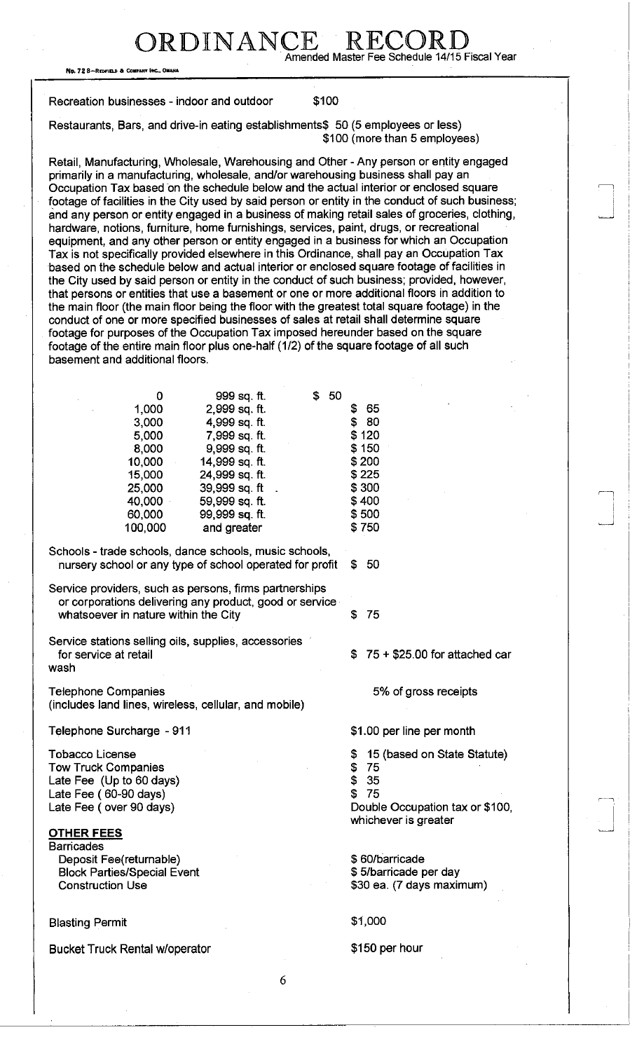DRDINANCE R Amended Master Fee Schedule 14/15 Fiscal Year

No. 72 8-REDFIELD & COMP

Recreation businesses - indoor and outdoor \$100

Restaurants, Bars, and drive-in eating establishments\$ 50 (5 employees or less) \$100 (more than 5 employees)

Retail, Manufacturing, Wholesale, Warehousing and Other - Any person or entity engaged primarily in a manufacturing, wholesale, and/or warehousing business shall pay an Occupation Tax based on the schedule below and the actual interior or enclosed square footage of facilities in the City used by said person or entity in the conduct of such business; and any person or entity engaged in a business of making retail sales of groceries, clothing, hardware, notions, furniture, home furnishings, services, paint, drugs, or recreational equipment, and any other person or entity engaged in a business for which an Occupation Tax is not specifically provided elsewhere in this Ordinance, shall pay an Occupation Tax based on the schedule below and actual interior or enclosed square footage of facilities in the City used by said person or entity in the conduct of such business; provided, however, that persons or entities that use a basement or one or more additional floors in addition to the main floor (the main floor being the floor with the greatest total square footage) in the conduct of one or more specified businesses of sales at retail shall determine square footage for purposes of the Occupation Tax imposed hereunder based on the square footage of the entire main floor plus one-half (1/2) of the square footage of all such basement and additional floors.

| 999 sq. ft.              | S | - 50    |
|--------------------------|---|---------|
| 2,999 sq. ft.            |   | 65<br>S |
| 4,999 sq. ft.            |   | \$ 80   |
| 7,999 sq. ft.            |   | \$120   |
| 9,999 sq. ft.            |   | \$150   |
| 14,999 sq. ft.           |   | \$200   |
| 24,999 sq. ft.           |   | \$225   |
| 39,999 sq. ft            |   | \$300   |
| 40,000<br>59,999 sq. ft. |   | \$400   |
| 99,999 sq. ft.           |   | \$500   |
| and greater              |   | \$750   |
|                          |   |         |

Schools - trade schools, dance schools, music schools, nursery school or any type of school operated for profit \$ 50

Service providers, such as persons, firms partnerships or corporations delivering any product, good or service whatsoever in nature within the City **\$75** 

Service stations selling oils, supplies, accessories for service at retail wash

Telephone Companies (includes land lines, wireless, cellular, and mobile)

Telephone Surcharge - 911

Tobacco License Tow Truck Companies Late Fee (Up to 60 days) Late Fee (60-90 days) Late Fee (over 90 days)

## OTHER FEES

**Barricades** Deposit Fee(returnable) Block Parties/Special Event Construction Use

## Blasting Permit \$1,000

Bucket Truck Rental w/operator **\$150 per hour** 

\$ 75 + \$25.00 for attached car

5% of gross receipts

\$1.00 per line per month

\$ 15 (based on State Statute)

- \$ 75
- \$ 35 \$ 75

Double Occupation tax or \$100, whichever is greater

\$ 60/barricade \$ 5/barricade per day \$30 ea. (7 days maximum)

6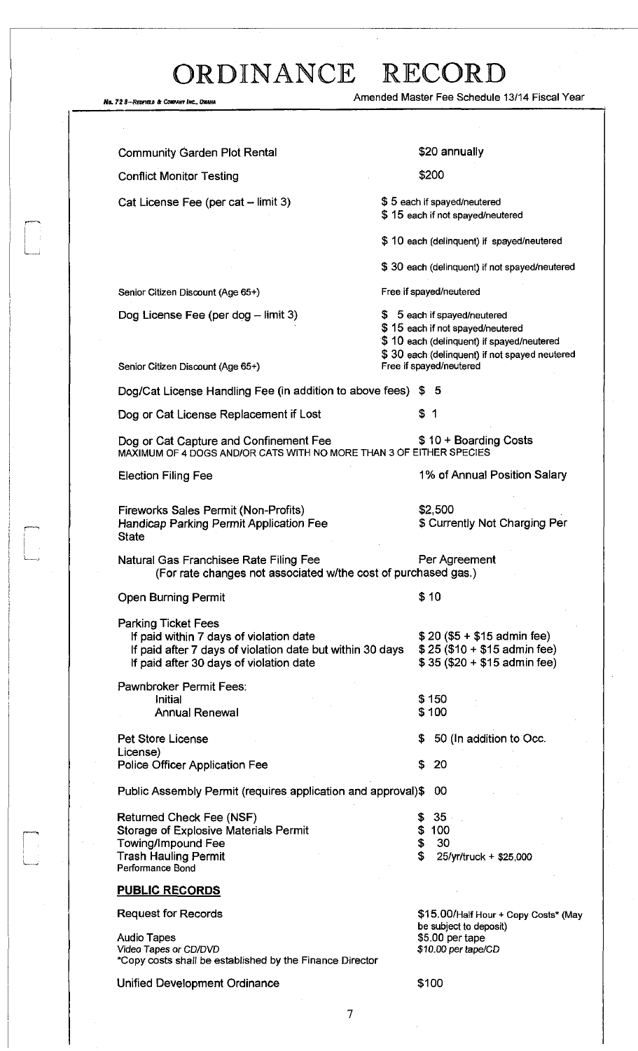*No. 72 8—REOFFEED & COMPART INC., ONAHA Amended Master Fee Schedule 13/14 Fiscal Year* Community Garden Plot Rental Conflict Monitor Testing Cat License Fee (per cat - limit 3) Senior Citizen Discount (Age 65+) Dog License Fee (per dog - limit 3) \$20 annually \$200 \$ 5 each if spayed/neutered \$ 15 each if not spayed/neutered \$10 each (delinquent) if spayed/neutered \$ 30 each (delinquent) if not spayed/neutered Free if spayed/neutered \$ 5 each if spayed/neutered \$ 15 each if not spayed/neutered \$ 10 each (delinquent) if spayed/neutered \$ 30 each (delinquent) if not spayed neutered<br>Free if spayed/neutered Senior Citizen Discount (Age 65+) Dog/Cat License Handling Fee (in addition to above fees) \$ 5 Dog or Cat License Replacement if Lost **\$ 1** Dog or Cat Capture and Confinement Fee  $$ 10 + Boarding Costs$ MAXIMUM OF 4 DOGS AND/OR CATS WITH NO MORE THAN 3 OF EITHER SPECIES Election Filing Fee 1% of Annual Position Salary Fireworks Sales Permit (Non-Profits) Handicap Parking Permit Application Fee **State** \$2,500 \$ Currently Not Charging Per Natural Gas Franchisee Rate Filing Fee Per Per Agreement (For rate changes not associated w/the cost of purchased gas.) Open Burning Permit \$10 Parking Ticket Fees If paid within 7 days of violation date  $$20 ($5 + $15$)$  admin fee) If paid after 7 days of violation date but within 30 days  $$25 ($10 + $15$)$  admin fee) If paid after 30 days of violation date  $$ 35 ($20 + $15$)$  admin fee) Pawnbroker Permit Fees: Initial Annual Renewal \$150 \$ 100 \$ 50 (In addition to Occ. \$ 20 Public Assembly Permit (requires application and approval)\$ 00 Pet Store License License) Police Officer Application Fee Returned Check Fee (NSF) Storage of Explosive Materials Permit Towing/Impound Fee Trash Hauling Permit Performance Bond **PUBLIC RECORDS**  Request for Records **Audio Tapes**  *Video* **Tapes or** *CD/DVD*  **\*Copy costs shall be established by the Finance Director**  \$ 35 \$ 100 \$ 30 **\$ 25/yr/truck + \$25,000**  \$15.00/Half Hour + Copy Costs\* (May be subject to deposit) **\$5.00 per tape \$10.00 per tape/CD** 

Unified Development Ordinance **\$100** 

l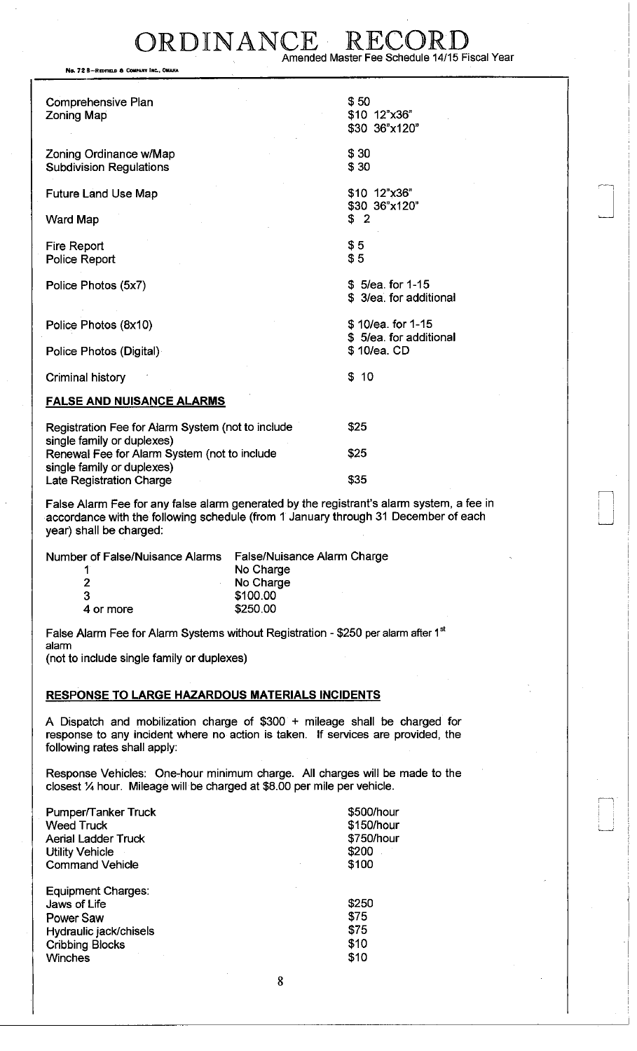## DRDINANCE R Amended Master Fee Schedule 14/15 Fiscal Year

No. 72 B-REDFIELD & COMPANY INC., OMAH

| <b>Comprehensive Plan</b><br><b>Zoning Map</b>                             | \$50<br>\$10 12"x36"<br>\$30 36"x120"       |
|----------------------------------------------------------------------------|---------------------------------------------|
| Zoning Ordinance w/Map<br><b>Subdivision Regulations</b>                   | \$30<br>\$30                                |
| <b>Future Land Use Map</b>                                                 | \$10 12"x36"                                |
| <b>Ward Map</b>                                                            | \$30 36"x120"<br>\$2                        |
| Fire Report<br>Police Report                                               | \$5<br>\$5                                  |
| Police Photos (5x7)                                                        | \$5/ea. for 1-15<br>\$3/ea. for additional  |
| Police Photos (8x10)                                                       | \$10/ea. for 1-15<br>\$5/ea. for additional |
| Police Photos (Digital)                                                    | \$10/ea. CD                                 |
| Criminal history                                                           | \$<br>10                                    |
| <b>FALSE AND NUISANCE ALARMS</b>                                           |                                             |
| Registration Fee for Alarm System (not to include                          | \$25                                        |
| single family or duplexes)<br>Renewal Fee for Alarm System (not to include | \$25                                        |
| single family or duplexes)<br>Late Registration Charge                     | \$35                                        |

False Alarm Fee for any false alarm generated by the registrant's alarm system, a fee in accordance with the following schedule (from 1 January through 31 December of each year) shall be charged:

Number of False/Nuisance Alarms False/Nuisance Alarm Charge 1 No Charge<br>2 No Charge 3 \$100.00

No Charge 4 or more \$250.00

i *i* 

False Alarm Fee for Alarm Systems without Registration - \$250 per alarm after 1 alarm

(not to include single family or duplexes)

### RESPONSE TO LARGE HAZARDOUS MATERIALS INCIDENTS

A Dispatch and mobilization charge of \$300 + mileage shall be charged for response to any incident where no action is taken. If services are provided, the following rates shall apply:

Response Vehicles: One-hour minimum charge. All charges will be made to the closest % hour. Mileage will be charged at \$8.00 per mile per vehicle.

| Pumper/Tanker Truck                                                                                                          | \$500/hour                            |
|------------------------------------------------------------------------------------------------------------------------------|---------------------------------------|
| <b>Weed Truck</b>                                                                                                            | \$150/hour                            |
| <b>Aerial Ladder Truck</b>                                                                                                   | \$750/hour                            |
| <b>Utility Vehicle</b>                                                                                                       | \$200                                 |
| <b>Command Vehicle</b>                                                                                                       | \$100                                 |
| Equipment Charges:<br>Jaws of Life<br><b>Power Saw</b><br>Hydraulic jack/chisels<br><b>Cribbing Blocks</b><br><b>Winches</b> | \$250<br>\$75<br>\$75<br>\$10<br>\$10 |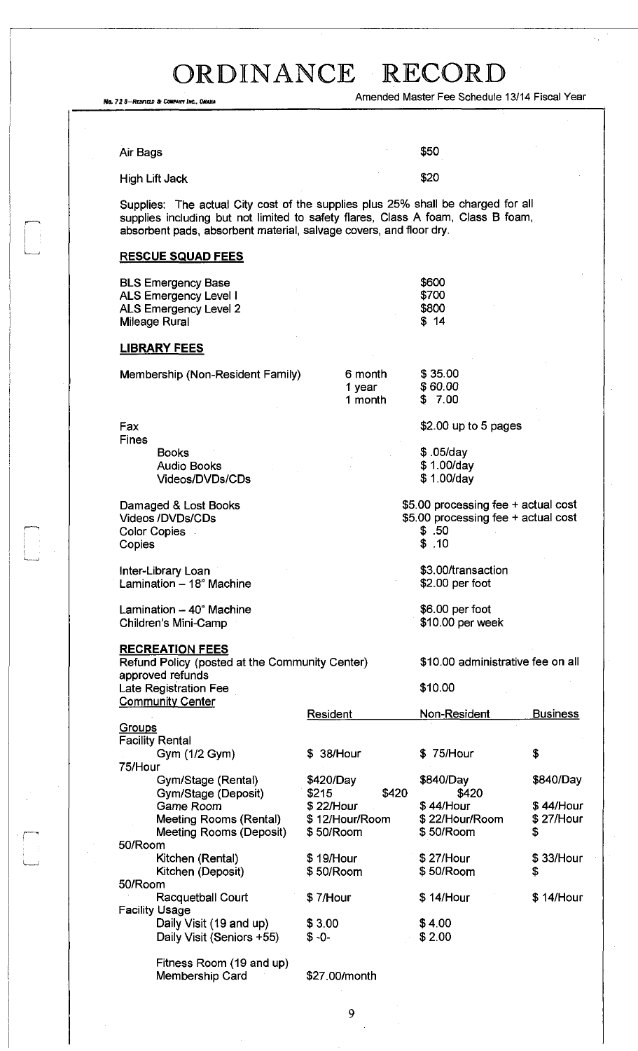$\begin{bmatrix} 1 \\ 1 \\ 1 \end{bmatrix}$ 

 $\Box$ 

| No. 72 8-REDFIELD & COMPANY INC., DMAHA                                                                                                                                                                                                    | Amended Master Fee Schedule 13/14 Fiscal Year              |                                                                                                  |                              |  |  |
|--------------------------------------------------------------------------------------------------------------------------------------------------------------------------------------------------------------------------------------------|------------------------------------------------------------|--------------------------------------------------------------------------------------------------|------------------------------|--|--|
|                                                                                                                                                                                                                                            |                                                            |                                                                                                  |                              |  |  |
|                                                                                                                                                                                                                                            |                                                            |                                                                                                  |                              |  |  |
| Air Bags                                                                                                                                                                                                                                   |                                                            | \$50                                                                                             |                              |  |  |
| <b>High Lift Jack</b>                                                                                                                                                                                                                      |                                                            | \$20                                                                                             |                              |  |  |
| Supplies: The actual City cost of the supplies plus 25% shall be charged for all<br>supplies including but not limited to safety flares, Class A foam, Class B foam,<br>absorbent pads, absorbent material, salvage covers, and floor dry. |                                                            |                                                                                                  |                              |  |  |
| <b>RESCUE SQUAD FEES</b>                                                                                                                                                                                                                   |                                                            |                                                                                                  |                              |  |  |
| <b>BLS Emergency Base</b><br>ALS Emergency Level I<br><b>ALS Emergency Level 2</b><br><b>Mileage Rural</b>                                                                                                                                 |                                                            | \$600<br>\$700<br>\$800<br>\$14                                                                  |                              |  |  |
| <b>LIBRARY FEES</b>                                                                                                                                                                                                                        |                                                            |                                                                                                  |                              |  |  |
| Membership (Non-Resident Family)                                                                                                                                                                                                           | 6 month<br>1 year<br>1 month                               | \$35.00<br>\$60.00<br>\$7.00                                                                     |                              |  |  |
| Fax                                                                                                                                                                                                                                        |                                                            | $$2.00$ up to 5 pages                                                                            |                              |  |  |
| <b>Fines</b><br><b>Books</b><br><b>Audio Books</b><br>Videos/DVDs/CDs                                                                                                                                                                      |                                                            | $$.05$ /day<br>\$1.00/day<br>\$1.00/day                                                          |                              |  |  |
| Damaged & Lost Books<br><b>Videos /DVDs/CDs</b><br><b>Color Copies</b><br>Copies                                                                                                                                                           |                                                            | \$5.00 processing fee + actual cost<br>\$5.00 processing fee + actual cost<br>\$.50<br>.10<br>\$ |                              |  |  |
| Inter-Library Loan<br>Lamination - 18" Machine                                                                                                                                                                                             |                                                            | \$3.00/transaction<br>\$2.00 per foot                                                            |                              |  |  |
| Lamination - 40" Machine<br>Children's Mini-Camp                                                                                                                                                                                           |                                                            | \$6.00 per foot<br>\$10.00 per week                                                              |                              |  |  |
| <b>RECREATION FEES</b><br>Refund Policy (posted at the Community Center)<br>approved refunds                                                                                                                                               |                                                            | \$10.00 administrative fee on all<br>\$10.00                                                     |                              |  |  |
| <b>Late Registration Fee</b><br><b>Community Center</b>                                                                                                                                                                                    |                                                            |                                                                                                  |                              |  |  |
| Groups                                                                                                                                                                                                                                     | Resident                                                   | Non-Resident                                                                                     | <b>Business</b>              |  |  |
| <b>Facility Rental</b><br>Gym (1/2 Gym)                                                                                                                                                                                                    | \$ 38/Hour                                                 | \$75/Hour                                                                                        | \$                           |  |  |
| 75/Hour<br>Gym/Stage (Rental)                                                                                                                                                                                                              | \$420/Day                                                  | \$840/Day                                                                                        | \$840/Day                    |  |  |
| Gym/Stage (Deposit)<br>Game Room<br>Meeting Rooms (Rental)<br>Meeting Rooms (Deposit)<br>50/Room                                                                                                                                           | \$215<br>\$420<br>\$22/Hour<br>\$12/Hour/Room<br>\$50/Room | \$420<br>$$44/$ Hour<br>\$22/Hour/Room<br>\$50/Room                                              | \$44/Hour<br>\$27/Hour<br>\$ |  |  |
| Kitchen (Rental)<br>Kitchen (Deposit)                                                                                                                                                                                                      | \$19/Hour<br>\$50/Room                                     | \$27/Hour<br>\$50/Room                                                                           | \$33/Hour<br>s               |  |  |
| 50/Room<br>Racquetball Court<br><b>Facility Usage</b>                                                                                                                                                                                      | \$7/Hour                                                   | \$14/Hour                                                                                        | \$14/Hour                    |  |  |
| Daily Visit (19 and up)<br>Daily Visit (Seniors +55)                                                                                                                                                                                       | \$3.00<br>$$ -0-$                                          | \$4.00<br>\$2.00                                                                                 |                              |  |  |

Fitness Room (19 and up) Membership Card \$27.00/month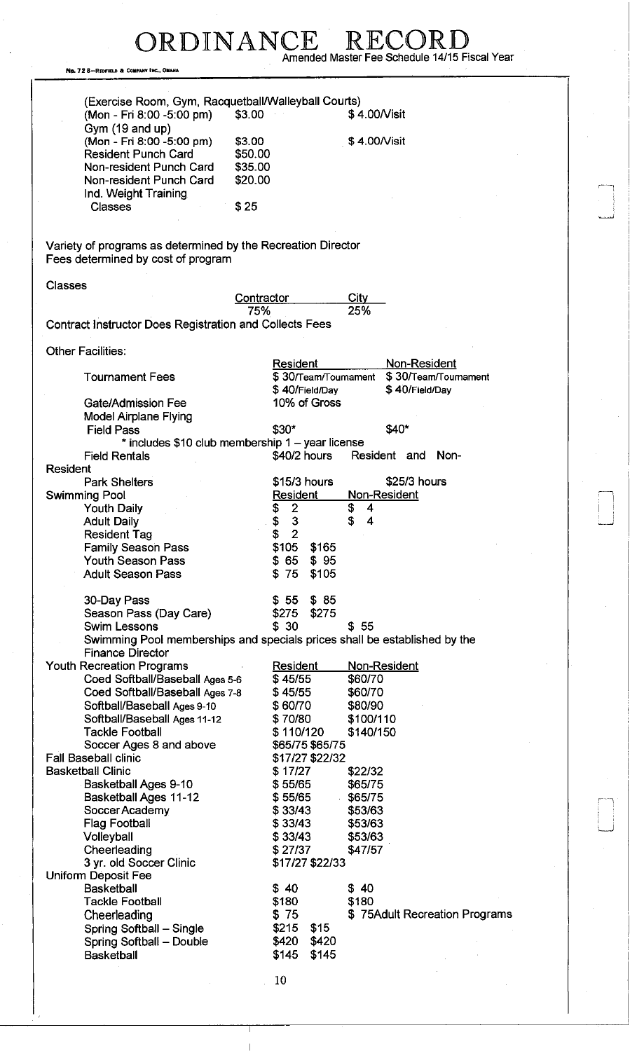No. 72 8-REOFIELD & COMPANY INC., OMAHA

ORDINANCE RECORD<br>Amended Master Fee Schedule 14/15 Fiscal Year

j.

|                                                              | (Exercise Room, Gym, Racquetball/Walleyball Courts)                       |
|--------------------------------------------------------------|---------------------------------------------------------------------------|
| (Mon - Fri 8:00 -5:00 pm)                                    | \$3.00<br>\$4.00/Visit                                                    |
| Gym (19 and up)                                              |                                                                           |
| (Mon - Fri 8:00 -5:00 pm)                                    | \$3.00<br>\$4.00/Visit                                                    |
| <b>Resident Punch Card</b>                                   | \$50.00                                                                   |
| Non-resident Punch Card                                      | \$35.00                                                                   |
| Non-resident Punch Card                                      | \$20.00                                                                   |
| Ind. Weight Training                                         |                                                                           |
| <b>Classes</b>                                               | \$25                                                                      |
|                                                              |                                                                           |
|                                                              |                                                                           |
| Variety of programs as determined by the Recreation Director |                                                                           |
| Fees determined by cost of program                           |                                                                           |
|                                                              |                                                                           |
| <b>Classes</b>                                               |                                                                           |
|                                                              | <b>City</b><br>Contractor                                                 |
|                                                              | 25%<br>75%                                                                |
| Contract Instructor Does Registration and Collects Fees      |                                                                           |
|                                                              |                                                                           |
| <b>Other Facilities:</b>                                     |                                                                           |
|                                                              | Resident<br>Non-Resident                                                  |
| <b>Tournament Fees</b>                                       | \$30/Team/Tournament<br>\$30/Team/Tournament                              |
|                                                              | \$40/Field/Day<br>\$40/Field/Day                                          |
| <b>Gate/Admission Fee</b>                                    | 10% of Gross                                                              |
| <b>Model Airplane Flying</b>                                 |                                                                           |
| <b>Field Pass</b>                                            | \$40*<br>\$30*                                                            |
|                                                              | * includes \$10 club membership 1 - year license                          |
| <b>Field Rentals</b>                                         | \$40/2 hours<br>Resident and<br>Non-                                      |
| <b>Resident</b>                                              |                                                                           |
| <b>Park Shelters</b>                                         | \$15/3 hours<br>\$25/3 hours                                              |
| Swimming Pool                                                | Non-Resident<br>Resident                                                  |
| <b>Youth Daily</b>                                           | \$<br>$\boldsymbol{2}$<br>Ş<br>4                                          |
| <b>Adult Daily</b>                                           | S<br>4                                                                    |
| <b>Resident Tag</b>                                          | $\frac{3}{2}$<br>Տ<br>Տ                                                   |
| <b>Family Season Pass</b>                                    | \$105<br>\$165                                                            |
| <b>Youth Season Pass</b>                                     | \$ 65<br>\$95                                                             |
| <b>Adult Season Pass</b>                                     | \$75<br>\$105                                                             |
|                                                              |                                                                           |
| 30-Day Pass                                                  | $$55$ $$85$                                                               |
| Season Pass (Day Care)                                       | \$275<br>\$275                                                            |
| <b>Swim Lessons</b>                                          | \$30<br>\$55                                                              |
|                                                              | Swimming Pool memberships and specials prices shall be established by the |
| <b>Finance Director</b>                                      |                                                                           |
| <b>Youth Recreation Programs</b>                             | Non-Resident<br>Resident                                                  |
| Coed Softball/Baseball Ages 5-6                              | \$45/55<br>\$60/70                                                        |
| Coed Softball/Baseball Ages 7-8                              | \$45/55<br>\$60/70                                                        |
| Softball/Baseball Ages 9-10                                  | \$60/70<br>\$80/90                                                        |
| Softball/Baseball Ages 11-12                                 | \$70/80<br>\$100/110                                                      |
| <b>Tackle Football</b>                                       | \$110/120<br>\$140/150                                                    |
| Soccer Ages 8 and above                                      | \$65/75 \$65/75                                                           |
| <b>Fall Baseball clinic</b>                                  | \$17/27 \$22/32                                                           |
| <b>Basketball Clinic</b>                                     | \$17/27<br>\$22/32                                                        |
| Basketball Ages 9-10                                         | \$55/65<br>\$65/75                                                        |
| <b>Basketball Ages 11-12</b>                                 | \$55/65<br>\$65/75                                                        |
| Soccer Academy                                               | \$33/43<br>\$53/63                                                        |
|                                                              | \$33/43                                                                   |
| <b>Flag Football</b>                                         | \$53/63                                                                   |
| Volleyball                                                   | \$33/43<br>\$53/63                                                        |
| Cheerleading                                                 | \$27/37<br>\$47/57                                                        |
| 3 yr. old Soccer Clinic                                      | \$17/27 \$22/33                                                           |
| Uniform Deposit Fee                                          |                                                                           |
| <b>Basketball</b>                                            | \$40<br>\$40                                                              |
| <b>Tackle Football</b>                                       | \$180<br>\$180                                                            |
| Cheerleading                                                 | \$75Adult Recreation Programs<br>\$75                                     |
| Spring Softball - Single                                     | \$215<br>\$15                                                             |
| Spring Softball - Double                                     | \$420<br>\$420                                                            |
| <b>Basketball</b>                                            | \$145<br>\$145                                                            |
|                                                              |                                                                           |
|                                                              | 10                                                                        |

 $\overline{1}$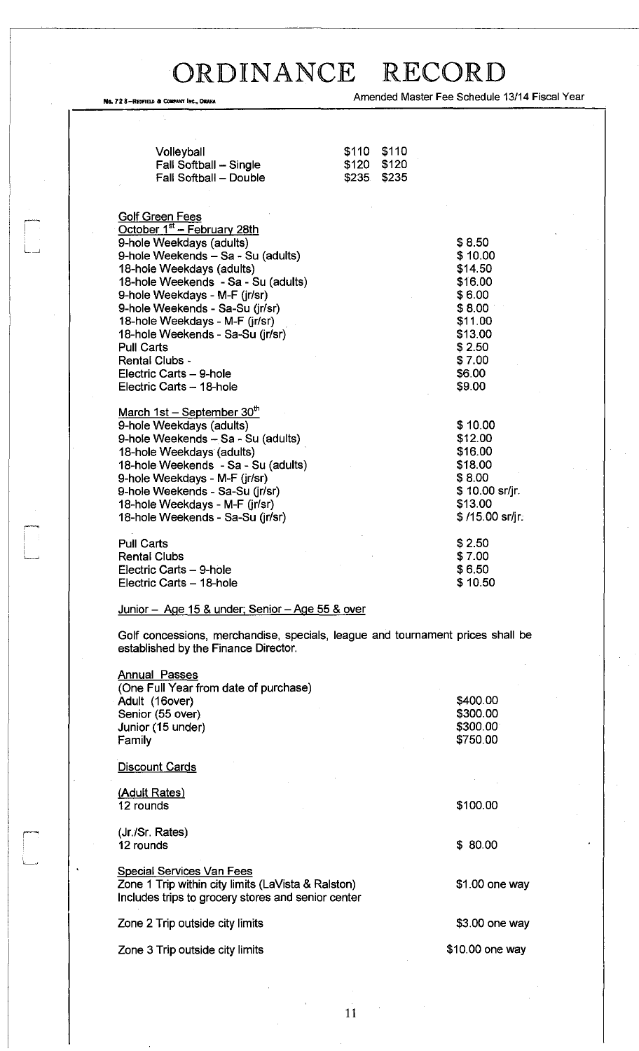, 72 8—REDFIEU a COMPANY INC., DHAKA **Amended Master Fee Schedule 13/14 Fiscal Year** 

| Volleyball<br>Fall Softball - Single<br>Fall Softball - Double                                                                                                                                                                                                                                                                                                                                                                      | \$110<br>\$120<br>\$235 | \$110<br>\$120<br>\$235 |                                                                                                                           |  |
|-------------------------------------------------------------------------------------------------------------------------------------------------------------------------------------------------------------------------------------------------------------------------------------------------------------------------------------------------------------------------------------------------------------------------------------|-------------------------|-------------------------|---------------------------------------------------------------------------------------------------------------------------|--|
| <b>Golf Green Fees</b><br>October 1st - February 28th<br>9-hole Weekdays (adults)<br>9-hole Weekends - Sa - Su (adults)<br>18-hole Weekdays (adults)<br>18-hole Weekends - Sa - Su (adults)<br>9-hole Weekdays - M-F (jr/sr)<br>9-hole Weekends - Sa-Su (jr/sr)<br>18-hole Weekdays - M-F (jr/sr)<br>18-hole Weekends - Sa-Su (jr/sr)<br><b>Pull Carts</b><br>Rental Clubs -<br>Electric Carts - 9-hole<br>Electric Carts - 18-hole |                         |                         | \$8.50<br>\$10.00<br>\$14.50<br>\$16.00<br>\$6.00<br>\$8.00<br>\$11.00<br>\$13.00<br>\$2.50<br>\$7.00<br>\$6.00<br>\$9.00 |  |
| March 1st - September 30th<br>9-hole Weekdays (adults)<br>9-hole Weekends - Sa - Su (adults)<br>18-hole Weekdays (adults)<br>18-hole Weekends - Sa - Su (adults)<br>9-hole Weekdays - M-F (jr/sr)<br>9-hole Weekends - Sa-Su (jr/sr)<br>18-hole Weekdays - M-F (jr/sr)<br>18-hole Weekends - Sa-Su (jr/sr)                                                                                                                          |                         |                         | \$10.00<br>\$12.00<br>\$16.00<br>\$18.00<br>\$8.00<br>\$10.00 sr/jr.<br>\$13.00<br>$$/15.00$ sr/jr:                       |  |
| <b>Pull Carts</b><br><b>Rental Clubs</b><br>Electric Carts - 9-hole<br>Electric Carts - 18-hole                                                                                                                                                                                                                                                                                                                                     |                         |                         | \$2.50<br>\$7.00<br>\$6.50<br>\$10.50                                                                                     |  |
| Junior - Age 15 & under; Senjor - Age 55 & over                                                                                                                                                                                                                                                                                                                                                                                     |                         |                         |                                                                                                                           |  |
| Golf concessions, merchandise, specials, league and tournament prices shall be<br>established by the Finance Director.                                                                                                                                                                                                                                                                                                              |                         |                         |                                                                                                                           |  |
| <b>Annual Passes</b><br>(One Full Year from date of purchase)<br>Adult (16over)<br>Senior (55 over)<br>Junior (15 under)<br>Family                                                                                                                                                                                                                                                                                                  |                         |                         | \$400.00<br>\$300.00<br>\$300.00<br>\$750.00                                                                              |  |
| Discount Cards                                                                                                                                                                                                                                                                                                                                                                                                                      |                         |                         |                                                                                                                           |  |
| (Adult Rates)<br>12 rounds                                                                                                                                                                                                                                                                                                                                                                                                          |                         |                         | \$100.00                                                                                                                  |  |
| (Jr./Sr. Rates)                                                                                                                                                                                                                                                                                                                                                                                                                     |                         |                         |                                                                                                                           |  |

Special Services Van Fees

Zone 1 Trip within city limits (LaVista & Ralston) Includes trips to grocery stores and senior center

Zone 2 Trip outside city limits

Zone 3 Trip outside city limits

12 rounds

L.

I—

\$ 80.00

\$1.00 one way

\$3.00 one way

\$10.00 one way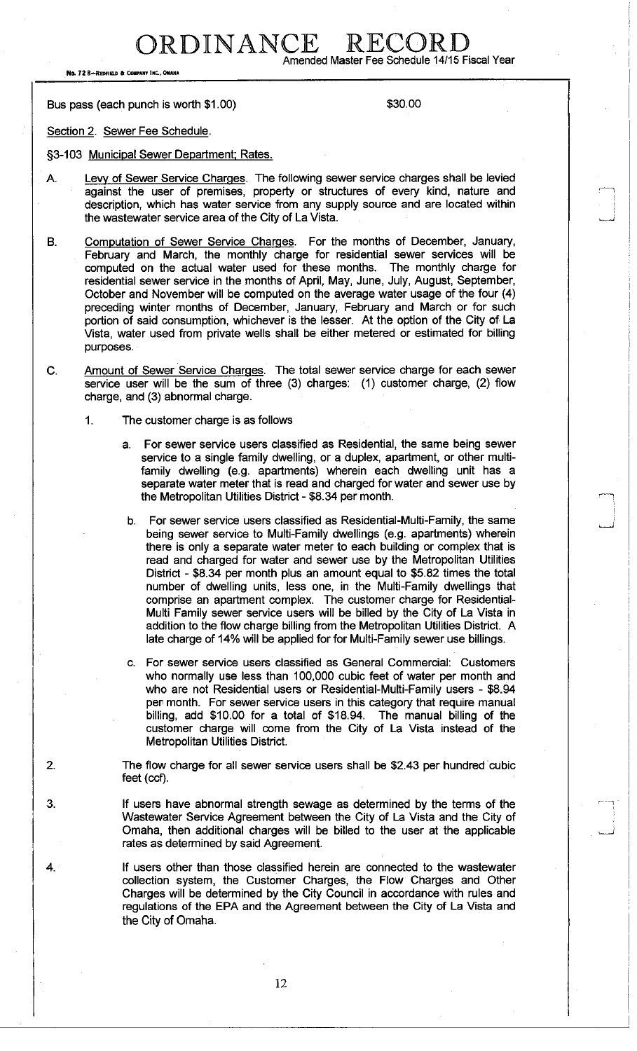RDINANCE RECOI

No. 72 B-REDFIELD & COMPANY INC., OMAHA

**Amended Master Fee Schedule 14/15 Fiscal Year** 

Bus pass (each punch is worth \$1.00) \$30.00

Section 2. Sewer Fee Schedule.

§3-103 Municipal Sewer Department; Rates.

- A. Levy of Sewer Service Charges. The following sewer service charges shall be levied against the user of premises, property or structures of every kind, nature and description, which has water service from any supply source and are located within the wastewater service area of the City of La Vista.
- B. Computation of Sewer Service Charges. For the months of December, January, February and March, the monthly charge for residential sewer services will be computed on the actual water used for these months. The monthly charge for residential sewer service in the months of April, May, June, July, August, September, October and November will be computed on the average water usage of the four (4) preceding winter months of December, January, February and March or for such portion of said consumption, whichever is the lesser. At the option of the City of La Vista, water used from private wells shall be either metered or estimated for billing purposes.
- C. Amount of Sewer Service Charges. The total sewer service charge for each sewer service user will be the sum of three (3) charges: (1) customer charge, (2) flow charge, and (3) abnormal charge.
	- 1. The customer charge is as follows
		- a. For sewer service users classified as Residential, the same being sewer service to a single family dwelling, or a duplex, apartment, or other multifamily dwelling (e.g. apartments) wherein each dwelling unit has a separate water meter that is read and charged for water and sewer use by the Metropolitan Utilities District - \$8.34 per month.
		- b. For sewer service users classified as Residential-Multi-Family, the same being sewer service to Multi-Family dwellings (e.g. apartments) wherein there is only a separate water meter to each building or complex that is read and charged for water and sewer use by the Metropolitan Utilities District - \$8.34 per month plus an amount equal to \$5.82 times the total number of dwelling units, less one, in the Multi-Family dwellings that comprise an apartment complex. The customer charge for Residential-Multi Family sewer service users will be billed by the City of La Vista in addition to the flow charge billing from the Metropolitan Utilities District. A late charge of 14% will be applied for for Multi-Family sewer use billings.
		- c. For sewer service users classified as General Commercial: Customers who normally use less than 100,000 cubic feet of water per month and who are not Residential users or Residential-Multi-Family users - \$8.94 per month. For sewer service users in this category that require manual billing, add \$10.00 for a total of \$18.94. The manual billing of the customer charge will come from the City of La Vista instead of the Metropolitan Utilities District.

2. The flow charge for all sewer service users shall be \$2.43 per hundred cubic feet (ccf).

- 3. If users have abnormal strength sewage as determined by the terms of the Wastewater Service Agreement between the City of La Vista and the City of Omaha, then additional charges will be billed to the user at the applicable rates as determined by said Agreement.
- 4. If users other than those classified herein are connected to the wastewater collection system, the Customer Charges, the Flow Charges and Other Charges will be determined by the City Council in accordance with rules and regulations of the EPA and the Agreement between the City of La Vista and the City of Omaha.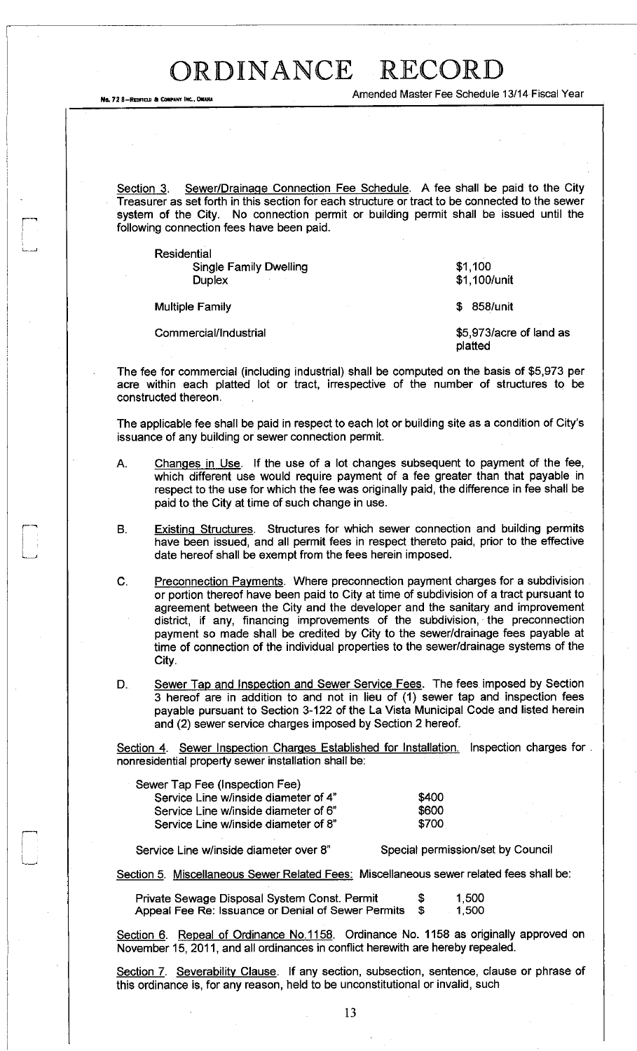Amended Master Fee Schedule 13/14 Fiscal Year

Section 3. Sewer/Drainage Connection Fee Schedule. A fee shall be paid to the City Treasurer as set forth in this section for each structure or tract to be connected to the sewer system of the City. No connection permit or building permit shall be issued until the following connection fees have been paid.

Residential Single Family Dwelling **Duplex** 

Multiple Family

No. 72 8-REDFIELD & COMPANY INC., OMAHA

Commercial/Industrial

\$1,100 \$1,100/unit

\$ 858/unit

\$5,973/acre of land as platted

The fee for commercial (including industrial) shall be computed on the basis of \$5,973 per acre within each platted lot or tract, irrespective of the number of structures to be constructed thereon.

The applicable fee shall be paid in respect to each lot or building site as a condition of City's issuance of any building or sewer connection permit.

- A. Changes in Use. If the use of a lot changes subsequent to payment of the fee, which different use would require payment of a fee greater than that payable in respect to the use for which the fee was originally paid, the difference in fee shall be paid to the City at time of such change in use.
- B. Existing Structures. Structures for which sewer connection and building permits have been issued, and all permit fees in respect thereto paid, prior to the effective date hereof shall be exempt from the fees herein imposed.
- C. Preconnection Payments. Where preconnection payment charges for a subdivision or portion thereof have been paid to City at time of subdivision of a tract pursuant to agreement between the City and the developer and the sanitary and improvement district, if any, financing improvements of the subdivision, the preconnection payment so made shall be credited by City to the sewer/drainage fees payable at time of connection of the individual properties to the sewer/drainage systems of the City.
- D. Sewer Tap and Inspection and Sewer Service Fees. The fees imposed by Section 3 hereof are in addition to and not in lieu of (1) sewer tap and inspection fees payable pursuant to Section 3-122 of the La Vista Municipal Code and listed herein and (2) sewer service charges imposed by Section 2 hereof.

Section 4. Sewer Inspection Charges Established for Installation. Inspection charges for nonresidential property sewer installation shall be:

| Sewer Tap Fee (Inspection Fee)       |       |
|--------------------------------------|-------|
| Service Line w/inside diameter of 4" | \$400 |
| Service Line w/inside diameter of 6" | \$600 |
| Service Line w/inside diameter of 8" | \$700 |

Service Line w/inside diameter over 8" Special permission/set by Council

Section 5. Miscellaneous Sewer Related Fees: Miscellaneous sewer related fees shall be:

| Private Sewage Disposal System Const. Permit       | -56 | 1,500 |
|----------------------------------------------------|-----|-------|
| Appeal Fee Re: Issuance or Denial of Sewer Permits |     | 1.500 |

Section 6. Repeal of Ordinance No.1158. Ordinance No. 1158 as originally approved on November 15, 2011, and all ordinances in conflict herewith are hereby repealed.

Section 7. Severability Clause. If any section, subsection, sentence, clause or phrase of this ordinance is, for any reason, held to be unconstitutional or invalid, such